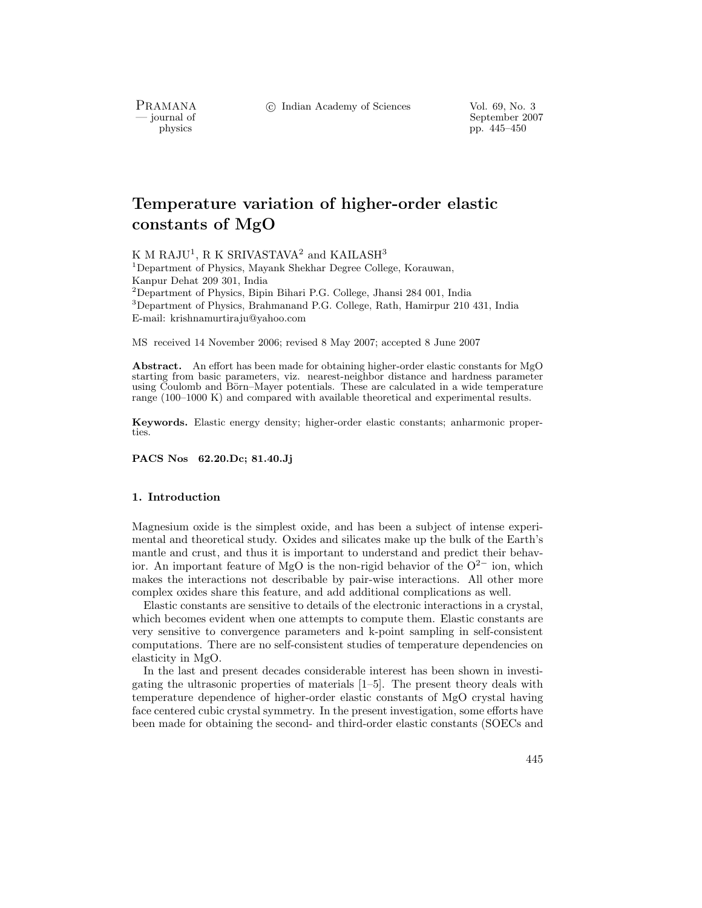c Indian Academy of Sciences Vol. 69, No. 3

PRAMANA<br>
— journal of

urnal of September 2007<br>
physics produced by the September 2007<br>
pp. 445–450 pp. 445–450

# **Temperature variation of higher-order elastic constants of MgO**

K M RAJU<sup>1</sup>, R K SRIVASTAVA<sup>2</sup> and KAILASH<sup>3</sup> <sup>1</sup>Department of Physics, Mayank Shekhar Degree College, Korauwan, Kanpur Dehat 209 301, India <sup>2</sup>Department of Physics, Bipin Bihari P.G. College, Jhansi 284 001, India

<sup>3</sup>Department of Physics, Brahmanand P.G. College, Rath, Hamirpur 210 431, India E-mail: krishnamurtiraju@yahoo.com

MS received 14 November 2006; revised 8 May 2007; accepted 8 June 2007

**Abstract.** An effort has been made for obtaining higher-order elastic constants for MgO starting from basic parameters, viz. nearest-neighbor distance and hardness parameter using Coulomb and Börn–Mayer potentials. These are calculated in a wide temperature range (100–1000 K) and compared with available theoretical and experimental results.

**Keywords.** Elastic energy density; higher-order elastic constants; anharmonic properties.

**PACS Nos 62.20.Dc; 81.40.Jj**

### **1. Introduction**

Magnesium oxide is the simplest oxide, and has been a subject of intense experimental and theoretical study. Oxides and silicates make up the bulk of the Earth's mantle and crust, and thus it is important to understand and predict their behavior. An important feature of MgO is the non-rigid behavior of the O<sup>2</sup>*<sup>−</sup>* ion, which makes the interactions not describable by pair-wise interactions. All other more complex oxides share this feature, and add additional complications as well.

Elastic constants are sensitive to details of the electronic interactions in a crystal, which becomes evident when one attempts to compute them. Elastic constants are very sensitive to convergence parameters and k-point sampling in self-consistent computations. There are no self-consistent studies of temperature dependencies on elasticity in MgO.

In the last and present decades considerable interest has been shown in investigating the ultrasonic properties of materials [1–5]. The present theory deals with temperature dependence of higher-order elastic constants of MgO crystal having face centered cubic crystal symmetry. In the present investigation, some efforts have been made for obtaining the second- and third-order elastic constants (SOECs and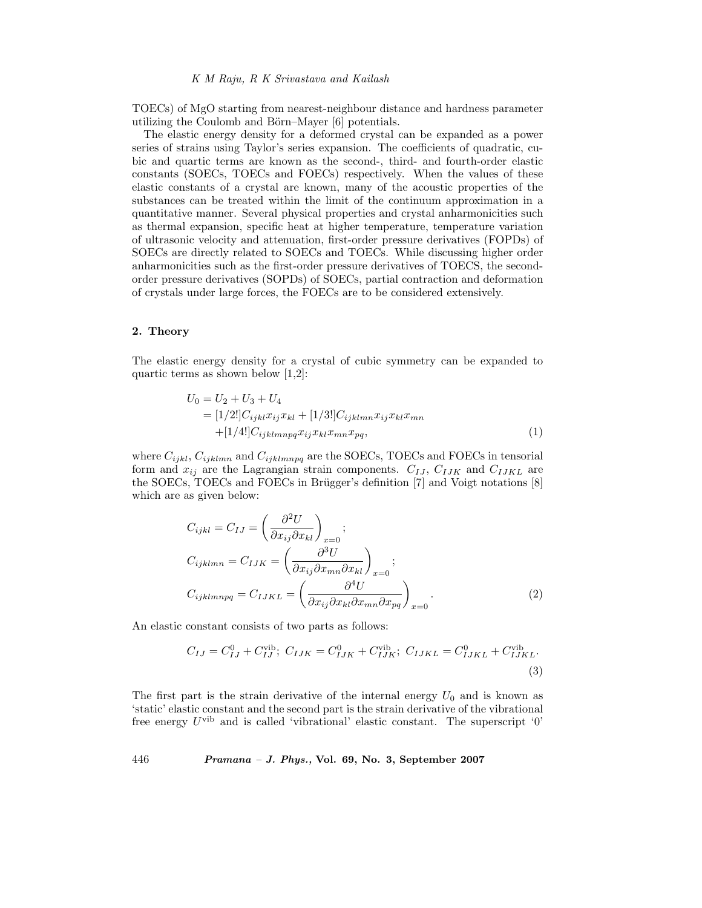TOECs) of MgO starting from nearest-neighbour distance and hardness parameter utilizing the Coulomb and Börn–Mayer [6] potentials.

The elastic energy density for a deformed crystal can be expanded as a power series of strains using Taylor's series expansion. The coefficients of quadratic, cubic and quartic terms are known as the second-, third- and fourth-order elastic constants (SOECs, TOECs and FOECs) respectively. When the values of these elastic constants of a crystal are known, many of the acoustic properties of the substances can be treated within the limit of the continuum approximation in a quantitative manner. Several physical properties and crystal anharmonicities such as thermal expansion, specific heat at higher temperature, temperature variation of ultrasonic velocity and attenuation, first-order pressure derivatives (FOPDs) of SOECs are directly related to SOECs and TOECs. While discussing higher order anharmonicities such as the first-order pressure derivatives of TOECS, the secondorder pressure derivatives (SOPDs) of SOECs, partial contraction and deformation of crystals under large forces, the FOECs are to be considered extensively.

#### **2. Theory**

The elastic energy density for a crystal of cubic symmetry can be expanded to quartic terms as shown below [1,2]:

$$
U_0 = U_2 + U_3 + U_4
$$
  
= [1/2!] $C_{ijkl}x_{ij}x_{kl} + [1/3!]C_{ijklmn}x_{ij}x_{kl}x_{mn}$   
+ [1/4!] $C_{ijklmnpq}x_{ij}x_{kl}x_{mn}x_{pq}$ , (1)

where <sup>C</sup>*ijkl*, <sup>C</sup>*ijklmn* and <sup>C</sup>*ijklmnpq* are the SOECs, TOECs and FOECs in tensorial form and  $x_{ij}$  are the Lagrangian strain components.  $C_{IJ}$ ,  $C_{IJK}$  and  $C_{IJKL}$  are the SOECs, TOECs and FOECs in Brügger's definition  $[7]$  and Voigt notations  $[8]$ which are as given below:

$$
C_{ijkl} = C_{IJ} = \left(\frac{\partial^2 U}{\partial x_{ij} \partial x_{kl}}\right)_{x=0};
$$
  
\n
$$
C_{ijklmn} = C_{IJK} = \left(\frac{\partial^3 U}{\partial x_{ij} \partial x_{mn} \partial x_{kl}}\right)_{x=0};
$$
  
\n
$$
C_{ijklmnpq} = C_{IJKL} = \left(\frac{\partial^4 U}{\partial x_{ij} \partial x_{kl} \partial x_{mn} \partial x_{pq}}\right)_{x=0}.
$$
\n(2)

An elastic constant consists of two parts as follows:

$$
C_{IJ} = C_{IJ}^0 + C_{IJ}^{\text{vib}}; \ C_{IJK} = C_{IJK}^0 + C_{IJK}^{\text{vib}}; \ C_{IJKL} = C_{IJKL}^0 + C_{IJKL}^{\text{vib}}.
$$
\n(3)

The first part is the strain derivative of the internal energy  $U_0$  and is known as 'static' elastic constant and the second part is the strain derivative of the vibrational free energy  $U^{\text{vib}}$  and is called 'vibrational' elastic constant. The superscript '0'

446 *Pramana – J. Phys.,* **Vol. 69, No. 3, September 2007**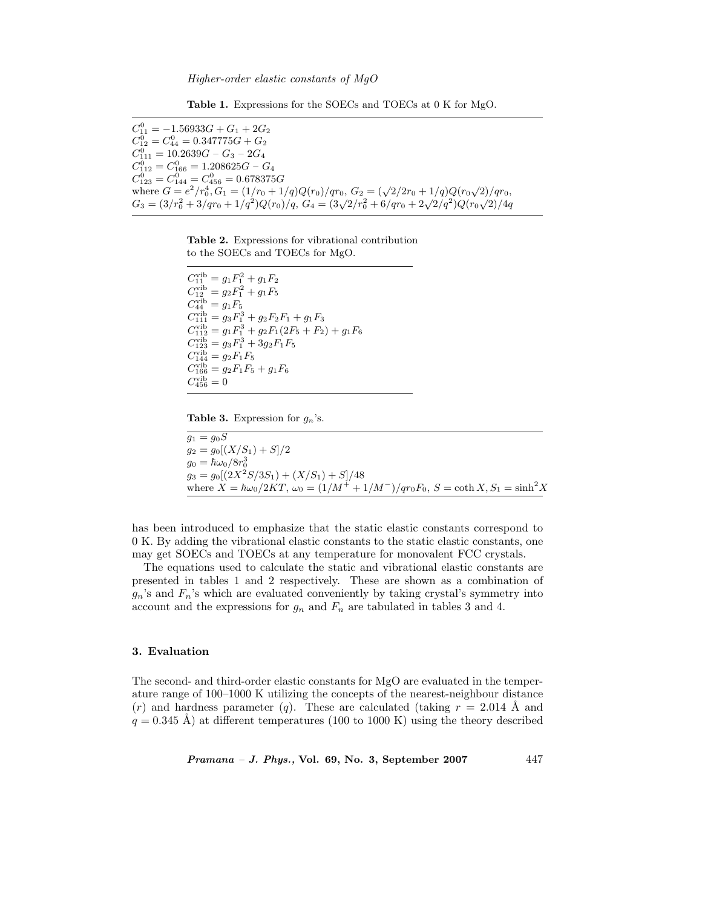**Table 1.** Expressions for the SOECs and TOECs at 0 K for MgO.

 $C_{11}^0 = -1.56933G + G_1 + 2G_2$ <br>  $C_{21}^0 = C_{21}^0 = 0.347775G + G_2$  $C_{12}^0 = C_{44}^0 = 0.347775G + G_2$ <br> $C_{11}^0 = 10.2639G - G_2 - 2G_1$  $C_{111}^0 = 10.2639G - G_3 - 2G_4$ <br> $C_{11}^0 = C_{11}^0 = 1.208625G - G_4$  $C_{112}^0 = C_{166}^0 = 1.208625G - G_4$ <br>  $C_{11}^0 = C_{11}^0 = C_{11}^0 = 0.678375$  $C_{123}^0 = C_{144}^0 = C_{456}^0 = 0.678375G$ <br>where  $C = e^2/\sqrt{r^4}$   $C_1 = (1/r_0 + 1)$ where  $G = e^2/r_0^4$ ,  $G_1 = (1/r_0 + 1/q)Q(r_0)/qr_0$ ,  $G_2 = (\sqrt{2}/2r_0 + 1/q)Q(r_0\sqrt{2})/qr_0$ ,<br>  $G_2 = (3/r_0^2 + 3/qr_0 + 1/q^2)Q(r_0)/q$ ,  $G_3 = (3/2/r_0^2 + 6/qr_0 + 2/q^2)Q(r_0/2)/q_0$  $G_3 = (3/r_0^2 + 3/qr_0 + 1/q^2)Q(r_0)/q$ ,  $G_4 = (3\sqrt{2}/r_0^2 + 6/qr_0 + 2\sqrt{2}/q^2)Q(r_0\sqrt{2})/4q$ 

**Table 2.** Expressions for vibrational contribution to the SOECs and TOECs for MgO.

 $C_{11}^{\text{vib}} = g_1 F_1^2 + g_1 F_2$ <br>  $C^{\text{vib}} = g_2 F_1^2 + g_1 F_2$  $C_{12}^{\text{vib}} = g_2 F_1^2 + g_1 F_5$ <br>  $C^{\text{vib}} = g_1 F_5$  $C_{44}^{\text{vib}} = g_1 F_5$ <br>  $C^{\text{vib}} = g_2 F_5^5$  $C_{111}^{\text{vib}} = g_3 F_1^3 + g_2 F_2 F_1 + g_1 F_3$ <br>  $C^{\text{vib}} = g_1 F_2^3 + g_2 F_1 (2 F_1 + F_2)$  $C_{112}^{\text{vib}} = g_1 F_1^3 + g_2 F_1 (2F_5 + F_2) + g_1 F_6$ <br>  $C^{\text{vib}} = g_2 F_1^3 + g_2 F_2 F_3$  $C_{123}^{\text{vib}} = g_3 F_1^3 + 3g_2 F_1 F_5$ <br>  $C^{\text{vib}} = g_3 F_1 F_2$  $C_{144}^{\text{vib}} = g_2 F_1 F_5$ <br>  $C^{\text{vib}} = g_2 F_1 F_2$  $C_{166}^{\text{vib}} = g_2 F_1 F_5 + g_1 F_6$ <br>  $C_{\text{vib}} = 0$  $C_{456}^{\text{vib}} = 0$ 

**Table 3.** Expression for g*<sup>n</sup>*'s.

 $g_1 = g_0 S$  $g_2 = g_0[(X/S_1) + S]/2$  $g_0 = \hbar \omega_0 / 8 r_0^3$ <br>  $g_0 = g_0 / 2 \sqrt{3} r^2$  $g_3 = g_0[(2X^2S/3S_1) + (X/S_1) + S]/48$ where  $\overline{X} = \hbar \omega_0 / 2KT$ ,  $\omega_0 = (1/M^+ + 1/M^-)/qr_0F_0$ ,  $S = \coth X$ ,  $S_1 = \sinh^2 X$ 

has been introduced to emphasize that the static elastic constants correspond to 0 K. By adding the vibrational elastic constants to the static elastic constants, one may get SOECs and TOECs at any temperature for monovalent FCC crystals.

The equations used to calculate the static and vibrational elastic constants are presented in tables 1 and 2 respectively. These are shown as a combination of  $g_n$ 's and  $F_n$ 's which are evaluated conveniently by taking crystal's symmetry into account and the expressions for  $g_n$  and  $F_n$  are tabulated in tables 3 and 4.

### **3. Evaluation**

The second- and third-order elastic constants for MgO are evaluated in the temperature range of 100–1000 K utilizing the concepts of the nearest-neighbour distance  $(r)$  and hardness parameter  $(q)$ . These are calculated (taking  $r = 2.014$ ) Å and  $q = 0.345$  Å) at different temperatures (100 to 1000 K) using the theory described

*Pramana – J. Phys.,* **Vol. 69, No. 3, September 2007** 447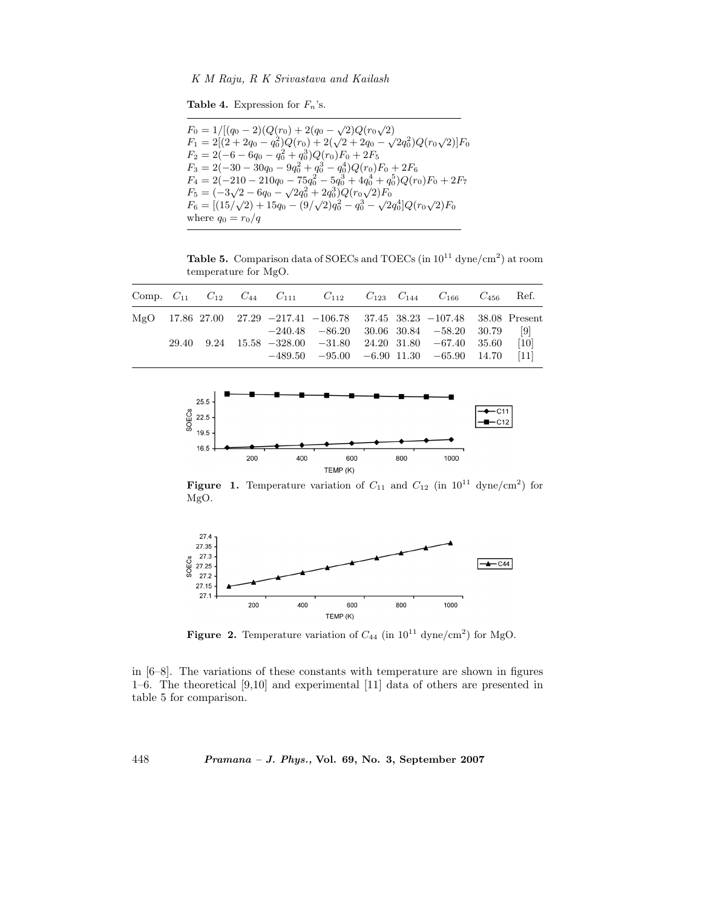#### *K M Raju, R K Srivastava and Kailash*

**Table 4.** Expression for  $F_n$ 's.

 $F_0 = 1/[(q_0 - 2)(Q(r_0) + 2(q_0 - \sqrt{2})Q(r_0))$ <br> $F_1 = 2[(2 + 2q_0 - q_0^2)Q(r_0) + 2(q_0 + q_0^2)]$  $F_0 = 1/[(q_0 - 2)(Q(r_0) + 2(q_0 - \sqrt{2})Q(r_0\sqrt{2}))$  $F_1 = 2[(2+2q_0-q_0^2)Q(r_0)+2(\sqrt{2}+2q_0-\sqrt{2}q_0^2)Q(r_0\sqrt{2})]F_0$ <br> $F_2 = 2(-6-6q_0-q_0^2+q_0^3)Q(r_0)F_2+2F_1$  $F_2 = 2(-6 - 6q_0 - q_0^2 + q_0^3)Q(r_0)F_0 + 2F_5$ <br> $F_2 = 2(-30 - 30q_0 - 9q_0^2 + q_0^3 - q_0^4)Q(r_0)$  $F_3 = 2(-30 - 30q_0 - 9q_0^2 + q_0^3 - q_0^4)Q(r_0)F_0 + 2F_6$ <br> $F_1 = 2(-210 - 210q_0 - 75q_0^2 - 5q_0^3 + 4q_0^4 + q_0^5)Q(r_0)$  $F_4 = 2(-210 - 210q_0 - 75q_0^2 - 5q_0^3 + 4q_0^4 + q_0^5)Q(r_0)F_0 + 2F_7$ <br> $F_5 = (-3/2 - 6q_0 - 72q_0^2 + 2q_0^3)Q(r_0)F_5$  $F_5 = (-3\sqrt{2} - 6q_0 - \sqrt{2}q_0^2 + 2q_0^3)Q(r_0\sqrt{2})F_0$ <br> $F_6 = [(15/(\sqrt{2}) + 15q_0 - (9/\sqrt{2})q_0^2 - q_0^3 - \sqrt{2}q_0^3)]$  $F_6 = [(15/\sqrt{2}) + 15q_0 - (9/\sqrt{2})q_0^2 - q_0^3 - \sqrt{2}q_0^4]Q(r_0\sqrt{2})F_0$ <br>where  $q_2 = r_0/q$ where  $q_0 = r_0/q$ 

**Table 5.** Comparison data of SOECs and TOECs (in  $10^{11}$  dyne/cm<sup>2</sup>) at room temperature for MgO.

|  |  |  |  | Comp. $C_{11}$ $C_{12}$ $C_{44}$ $C_{111}$ $C_{112}$ $C_{123}$ $C_{144}$ $C_{166}$ $C_{456}$ Ref. |  |
|--|--|--|--|---------------------------------------------------------------------------------------------------|--|
|  |  |  |  | MgO 17.86 27.00 27.29 -217.41 -106.78 37.45 38.23 -107.48 38.08 Present                           |  |
|  |  |  |  | $-240.48$ $-86.20$ $30.06$ $30.84$ $-58.20$ $30.79$ [9]                                           |  |
|  |  |  |  | $29.40$ $9.24$ $15.58$ $-328.00$ $-31.80$ $24.20$ $31.80$ $-67.40$ $35.60$ [10]                   |  |
|  |  |  |  | $-489.50$ $-95.00$ $-6.90$ $11.30$ $-65.90$ $14.70$ [11]                                          |  |



**Figure 1.** Temperature variation of  $C_{11}$  and  $C_{12}$  (in  $10^{11}$  dyne/cm<sup>2</sup>) for MgO.



**Figure 2.** Temperature variation of  $C_{44}$  (in  $10^{11}$  dyne/cm<sup>2</sup>) for MgO.

in  $[6-8]$ . The variations of these constants with temperature are shown in figures 1–6. The theoretical [9,10] and experimental [11] data of others are presented in table 5 for comparison.

448 *Pramana – J. Phys.,* **Vol. 69, No. 3, September 2007**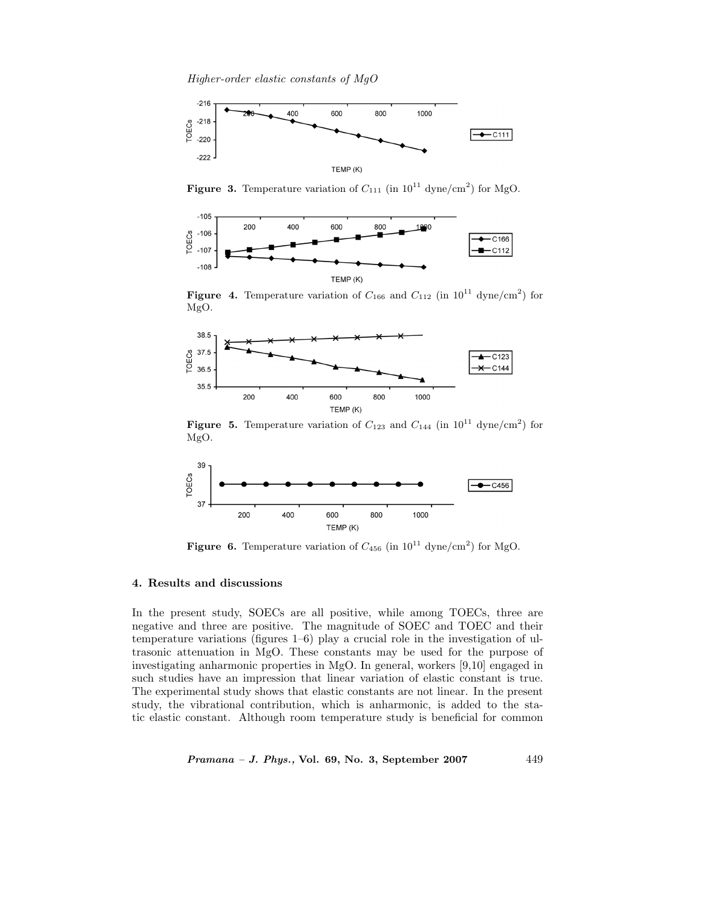*Higher-order elastic constants of MgO*



**Figure 3.** Temperature variation of  $C_{111}$  (in  $10^{11}$  dyne/cm<sup>2</sup>) for MgO.



**Figure 4.** Temperature variation of  $C_{166}$  and  $C_{112}$  (in  $10^{11}$  dyne/cm<sup>2</sup>) for MgO.



**Figure 5.** Temperature variation of  $C_{123}$  and  $C_{144}$  (in  $10^{11}$  dyne/cm<sup>2</sup>) for MgO.



**Figure 6.** Temperature variation of  $C_{456}$  (in  $10^{11}$  dyne/cm<sup>2</sup>) for MgO.

### **4. Results and discussions**

In the present study, SOECs are all positive, while among TOECs, three are negative and three are positive. The magnitude of SOEC and TOEC and their temperature variations (figures 1–6) play a crucial role in the investigation of ultrasonic attenuation in MgO. These constants may be used for the purpose of investigating anharmonic properties in MgO. In general, workers [9,10] engaged in such studies have an impression that linear variation of elastic constant is true. The experimental study shows that elastic constants are not linear. In the present study, the vibrational contribution, which is anharmonic, is added to the static elastic constant. Although room temperature study is beneficial for common

*Pramana – J. Phys.,* **Vol. 69, No. 3, September 2007** 449